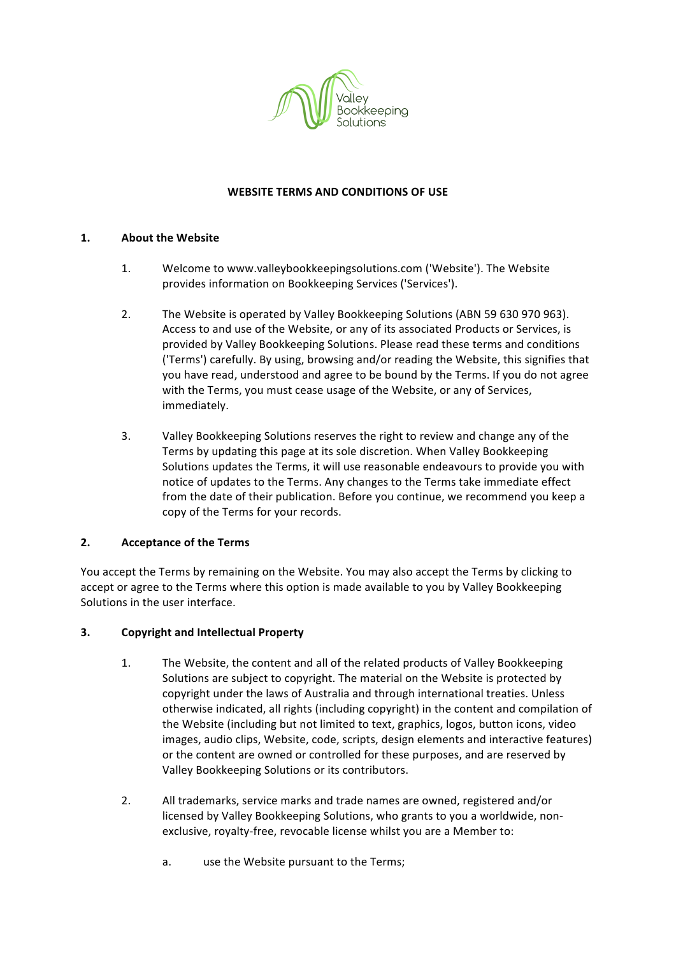

#### **WEBSITE TERMS AND CONDITIONS OF USE**

#### 1. About the Website

- 1. Welcome to www.valleybookkeepingsolutions.com ('Website'). The Website provides information on Bookkeeping Services ('Services').
- 2. The Website is operated by Valley Bookkeeping Solutions (ABN 59 630 970 963). Access to and use of the Website, or any of its associated Products or Services, is provided by Valley Bookkeeping Solutions. Please read these terms and conditions ('Terms') carefully. By using, browsing and/or reading the Website, this signifies that you have read, understood and agree to be bound by the Terms. If you do not agree with the Terms, you must cease usage of the Website, or any of Services, immediately.
- 3. Valley Bookkeeping Solutions reserves the right to review and change any of the Terms by updating this page at its sole discretion. When Valley Bookkeeping Solutions updates the Terms, it will use reasonable endeavours to provide you with notice of updates to the Terms. Any changes to the Terms take immediate effect from the date of their publication. Before you continue, we recommend you keep a copy of the Terms for your records.

## **2. Acceptance of the Terms**

You accept the Terms by remaining on the Website. You may also accept the Terms by clicking to accept or agree to the Terms where this option is made available to you by Valley Bookkeeping Solutions in the user interface.

#### **3.** Copyright and Intellectual Property

- 1. The Website, the content and all of the related products of Valley Bookkeeping Solutions are subject to copyright. The material on the Website is protected by copyright under the laws of Australia and through international treaties. Unless otherwise indicated, all rights (including copyright) in the content and compilation of the Website (including but not limited to text, graphics, logos, button icons, video images, audio clips, Website, code, scripts, design elements and interactive features) or the content are owned or controlled for these purposes, and are reserved by Valley Bookkeeping Solutions or its contributors.
- 2. All trademarks, service marks and trade names are owned, registered and/or licensed by Valley Bookkeeping Solutions, who grants to you a worldwide, nonexclusive, royalty-free, revocable license whilst you are a Member to:
	- a. use the Website pursuant to the Terms;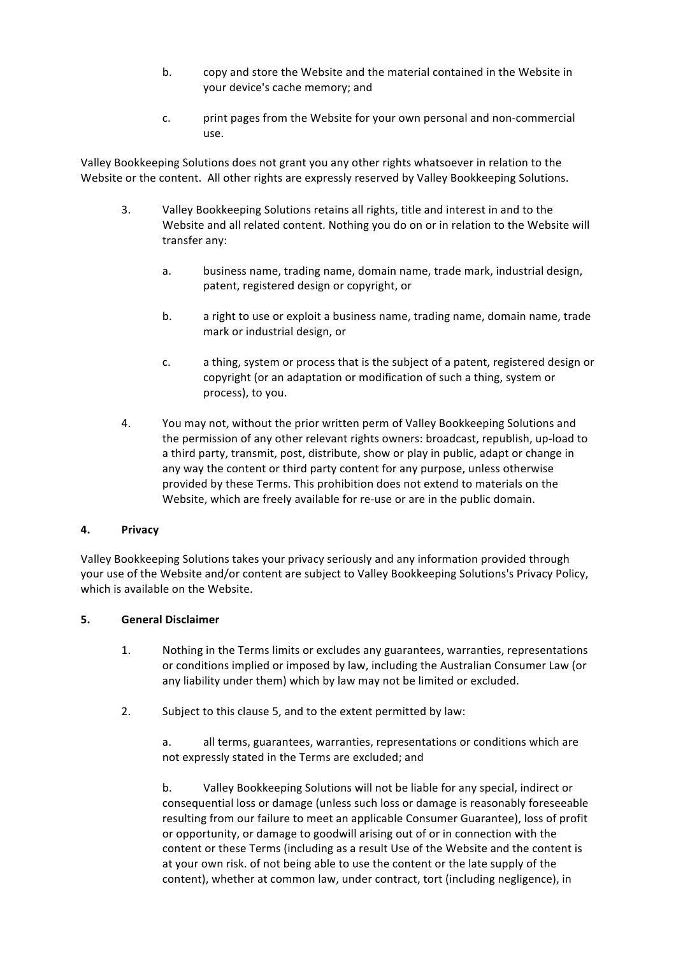- b. copy and store the Website and the material contained in the Website in your device's cache memory; and
- c. print pages from the Website for your own personal and non-commercial use.

Valley Bookkeeping Solutions does not grant you any other rights whatsoever in relation to the Website or the content. All other rights are expressly reserved by Valley Bookkeeping Solutions.

- 3. Valley Bookkeeping Solutions retains all rights, title and interest in and to the Website and all related content. Nothing you do on or in relation to the Website will transfer any:
	- a. business name, trading name, domain name, trade mark, industrial design, patent, registered design or copyright, or
	- b. a right to use or exploit a business name, trading name, domain name, trade mark or industrial design, or
	- c. a thing, system or process that is the subject of a patent, registered design or copyright (or an adaptation or modification of such a thing, system or process), to you.
- 4. You may not, without the prior written perm of Valley Bookkeeping Solutions and the permission of any other relevant rights owners: broadcast, republish, up-load to a third party, transmit, post, distribute, show or play in public, adapt or change in any way the content or third party content for any purpose, unless otherwise provided by these Terms. This prohibition does not extend to materials on the Website, which are freely available for re-use or are in the public domain.

#### **4. Privacy**

Valley Bookkeeping Solutions takes your privacy seriously and any information provided through your use of the Website and/or content are subject to Valley Bookkeeping Solutions's Privacy Policy, which is available on the Website.

#### **5. General Disclaimer**

- 1. Nothing in the Terms limits or excludes any guarantees, warranties, representations or conditions implied or imposed by law, including the Australian Consumer Law (or any liability under them) which by law may not be limited or excluded.
- 2. Subject to this clause 5, and to the extent permitted by law:

a. all terms, guarantees, warranties, representations or conditions which are not expressly stated in the Terms are excluded; and

b. Valley Bookkeeping Solutions will not be liable for any special, indirect or consequential loss or damage (unless such loss or damage is reasonably foreseeable resulting from our failure to meet an applicable Consumer Guarantee), loss of profit or opportunity, or damage to goodwill arising out of or in connection with the content or these Terms (including as a result Use of the Website and the content is at your own risk. of not being able to use the content or the late supply of the content), whether at common law, under contract, tort (including negligence), in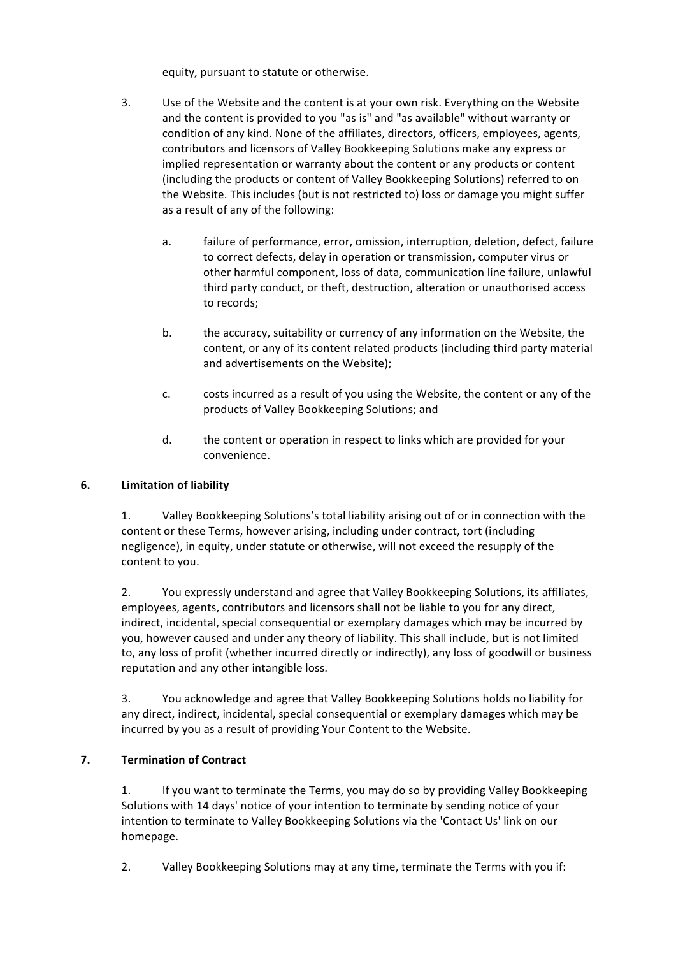equity, pursuant to statute or otherwise.

- 3. Use of the Website and the content is at your own risk. Everything on the Website and the content is provided to you "as is" and "as available" without warranty or condition of any kind. None of the affiliates, directors, officers, employees, agents, contributors and licensors of Valley Bookkeeping Solutions make any express or implied representation or warranty about the content or any products or content (including the products or content of Valley Bookkeeping Solutions) referred to on the Website. This includes (but is not restricted to) loss or damage you might suffer as a result of any of the following:
	- a. failure of performance, error, omission, interruption, deletion, defect, failure to correct defects, delay in operation or transmission, computer virus or other harmful component, loss of data, communication line failure, unlawful third party conduct, or theft, destruction, alteration or unauthorised access to records;
	- b. the accuracy, suitability or currency of any information on the Website, the content, or any of its content related products (including third party material and advertisements on the Website);
	- c. costs incurred as a result of you using the Website, the content or any of the products of Valley Bookkeeping Solutions; and
	- d. the content or operation in respect to links which are provided for your convenience.

## **6. Limitation of liability**

1. Valley Bookkeeping Solutions's total liability arising out of or in connection with the content or these Terms, however arising, including under contract, tort (including negligence), in equity, under statute or otherwise, will not exceed the resupply of the content to you.

2. You expressly understand and agree that Valley Bookkeeping Solutions, its affiliates, employees, agents, contributors and licensors shall not be liable to you for any direct, indirect, incidental, special consequential or exemplary damages which may be incurred by you, however caused and under any theory of liability. This shall include, but is not limited to, any loss of profit (whether incurred directly or indirectly), any loss of goodwill or business reputation and any other intangible loss.

3. You acknowledge and agree that Valley Bookkeeping Solutions holds no liability for any direct, indirect, incidental, special consequential or exemplary damages which may be incurred by you as a result of providing Your Content to the Website.

## **7. Termination of Contract**

1. If you want to terminate the Terms, you may do so by providing Valley Bookkeeping Solutions with 14 days' notice of your intention to terminate by sending notice of your intention to terminate to Valley Bookkeeping Solutions via the 'Contact Us' link on our homepage.

2. Valley Bookkeeping Solutions may at any time, terminate the Terms with you if: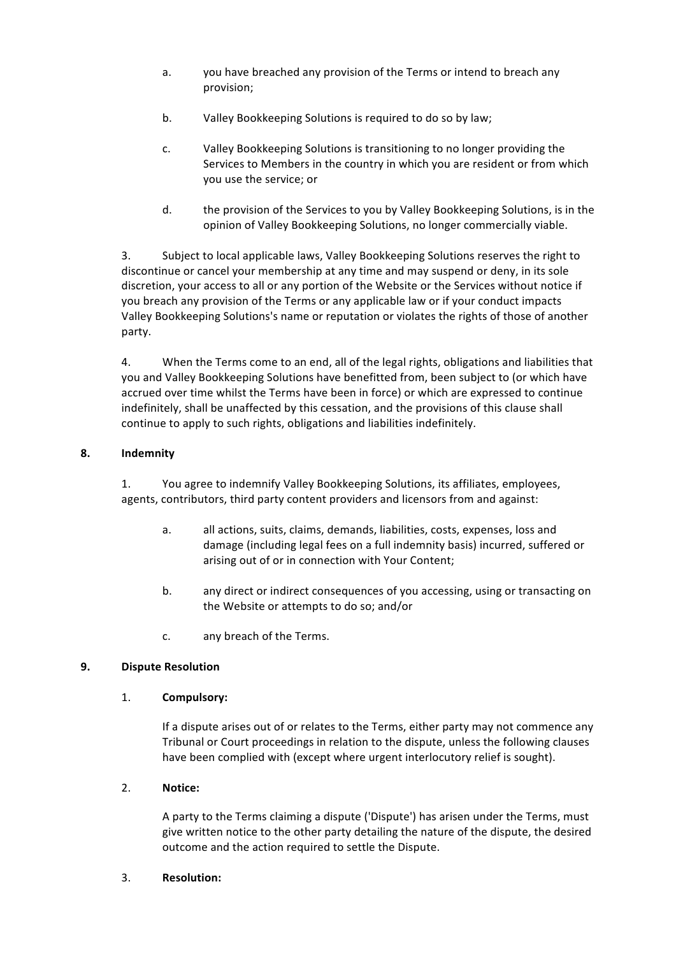- a. you have breached any provision of the Terms or intend to breach any provision;
- b. Valley Bookkeeping Solutions is required to do so by law;
- c. Valley Bookkeeping Solutions is transitioning to no longer providing the Services to Members in the country in which you are resident or from which you use the service; or
- d. the provision of the Services to you by Valley Bookkeeping Solutions, is in the opinion of Valley Bookkeeping Solutions, no longer commercially viable.

3. Subject to local applicable laws, Valley Bookkeeping Solutions reserves the right to discontinue or cancel your membership at any time and may suspend or deny, in its sole discretion, your access to all or any portion of the Website or the Services without notice if you breach any provision of the Terms or any applicable law or if your conduct impacts Valley Bookkeeping Solutions's name or reputation or violates the rights of those of another party.

4. When the Terms come to an end, all of the legal rights, obligations and liabilities that you and Valley Bookkeeping Solutions have benefitted from, been subject to (or which have accrued over time whilst the Terms have been in force) or which are expressed to continue indefinitely, shall be unaffected by this cessation, and the provisions of this clause shall continue to apply to such rights, obligations and liabilities indefinitely.

## **8. Indemnity**

1. You agree to indemnify Valley Bookkeeping Solutions, its affiliates, employees, agents, contributors, third party content providers and licensors from and against:

- a. all actions, suits, claims, demands, liabilities, costs, expenses, loss and damage (including legal fees on a full indemnity basis) incurred, suffered or arising out of or in connection with Your Content;
- b. any direct or indirect consequences of you accessing, using or transacting on the Website or attempts to do so; and/or
- c. any breach of the Terms.

## **9. Dispute Resolution**

## 1. **Compulsory:**

If a dispute arises out of or relates to the Terms, either party may not commence any Tribunal or Court proceedings in relation to the dispute, unless the following clauses have been complied with (except where urgent interlocutory relief is sought).

## 2. **Notice:**

A party to the Terms claiming a dispute ('Dispute') has arisen under the Terms, must give written notice to the other party detailing the nature of the dispute, the desired outcome and the action required to settle the Dispute.

#### 3. **Resolution:**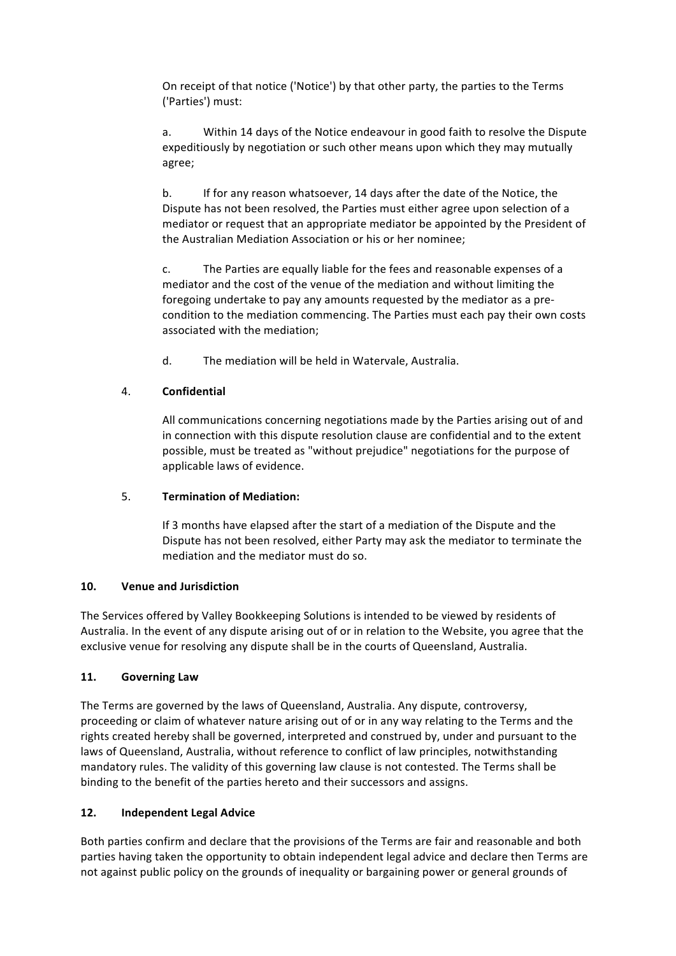On receipt of that notice ('Notice') by that other party, the parties to the Terms ('Parties') must:

a. Within 14 days of the Notice endeavour in good faith to resolve the Dispute expeditiously by negotiation or such other means upon which they may mutually agree;

b. If for any reason whatsoever, 14 days after the date of the Notice, the Dispute has not been resolved, the Parties must either agree upon selection of a mediator or request that an appropriate mediator be appointed by the President of the Australian Mediation Association or his or her nominee;

c. The Parties are equally liable for the fees and reasonable expenses of a mediator and the cost of the venue of the mediation and without limiting the foregoing undertake to pay any amounts requested by the mediator as a precondition to the mediation commencing. The Parties must each pay their own costs associated with the mediation:

d. The mediation will be held in Watervale, Australia.

## 4. **Confidential**

All communications concerning negotiations made by the Parties arising out of and in connection with this dispute resolution clause are confidential and to the extent possible, must be treated as "without prejudice" negotiations for the purpose of applicable laws of evidence.

## 5. **Termination of Mediation:**

If 3 months have elapsed after the start of a mediation of the Dispute and the Dispute has not been resolved, either Party may ask the mediator to terminate the mediation and the mediator must do so.

## **10. Venue and Jurisdiction**

The Services offered by Valley Bookkeeping Solutions is intended to be viewed by residents of Australia. In the event of any dispute arising out of or in relation to the Website, you agree that the exclusive venue for resolving any dispute shall be in the courts of Queensland, Australia.

# **11. Governing Law**

The Terms are governed by the laws of Queensland, Australia. Any dispute, controversy, proceeding or claim of whatever nature arising out of or in any way relating to the Terms and the rights created hereby shall be governed, interpreted and construed by, under and pursuant to the laws of Queensland, Australia, without reference to conflict of law principles, notwithstanding mandatory rules. The validity of this governing law clause is not contested. The Terms shall be binding to the benefit of the parties hereto and their successors and assigns.

# **12. Independent Legal Advice**

Both parties confirm and declare that the provisions of the Terms are fair and reasonable and both parties having taken the opportunity to obtain independent legal advice and declare then Terms are not against public policy on the grounds of inequality or bargaining power or general grounds of